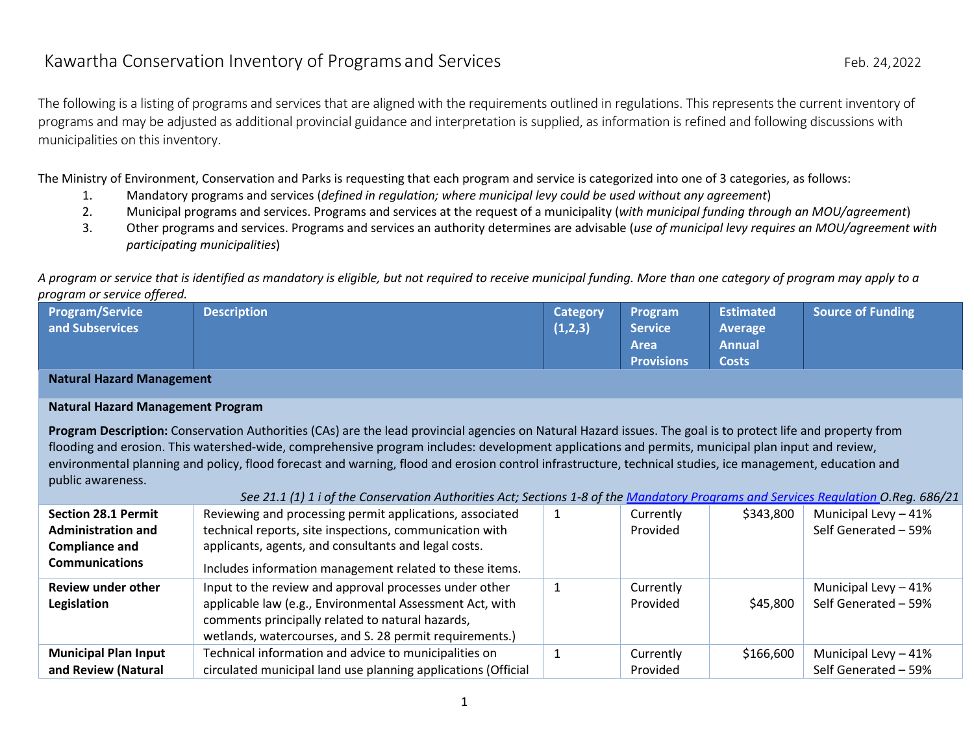The following is a listing of programs and services that are aligned with the requirements outlined in regulations. This represents the current inventory of programs and may be adjusted as additional provincial guidance and interpretation is supplied, as information is refined and following discussions with municipalities on this inventory.

The Ministry of Environment, Conservation and Parks is requesting that each program and service is categorized into one of 3 categories, as follows:

- 1. Mandatory programs and services (*defined in regulation; where municipal levy could be used without any agreement*)
- 2. Municipal programs and services. Programs and services at the request of a municipality (*with municipal funding through an MOU/agreement*)
- 3. Other programs and services. Programs and services an authority determines are advisable (*use of municipal levy requires an MOU/agreement with participating municipalities*)

*A program or service that is identified as mandatory is eligible, but not required to receive municipal funding. More than one category of program may apply to a program or service offered.*

| Program/Service | <b>Description</b> | <b>Category</b> | <b>Program</b>    | <b>Estimated</b> | Source of Funding |
|-----------------|--------------------|-----------------|-------------------|------------------|-------------------|
| and Subservices |                    | (1,2,3)         | Service           | Average          |                   |
|                 |                    |                 | <b>Area</b>       | <b>Annual</b>    |                   |
|                 |                    |                 | <b>Provisions</b> | Costs            |                   |

## **Natural Hazard Management**

#### **Natural Hazard Management Program**

**Program Description:** Conservation Authorities (CAs) are the lead provincial agencies on Natural Hazard issues. The goal is to protect life and property from flooding and erosion. This watershed-wide, comprehensive program includes: development applications and permits, municipal plan input and review, environmental planning and policy, flood forecast and warning, flood and erosion control infrastructure, technical studies, ice management, education and public awareness.

|                                                                                  | See 21.1 (1) 1 i of the Conservation Authorities Act; Sections 1-8 of the Mandatory Programs and Services Regulation O.Reg. 686/21                                                                                                |                       |           |                                              |
|----------------------------------------------------------------------------------|-----------------------------------------------------------------------------------------------------------------------------------------------------------------------------------------------------------------------------------|-----------------------|-----------|----------------------------------------------|
| <b>Section 28.1 Permit</b><br><b>Administration and</b><br><b>Compliance and</b> | Reviewing and processing permit applications, associated<br>technical reports, site inspections, communication with<br>applicants, agents, and consultants and legal costs.                                                       | Currently<br>Provided | \$343,800 | Municipal Levy - 41%<br>Self Generated - 59% |
| <b>Communications</b>                                                            | Includes information management related to these items.                                                                                                                                                                           |                       |           |                                              |
| <b>Review under other</b><br>Legislation                                         | Input to the review and approval processes under other<br>applicable law (e.g., Environmental Assessment Act, with<br>comments principally related to natural hazards,<br>wetlands, watercourses, and S. 28 permit requirements.) | Currently<br>Provided | \$45,800  | Municipal Levy - 41%<br>Self Generated - 59% |
| <b>Municipal Plan Input</b><br>and Review (Natural                               | Technical information and advice to municipalities on<br>circulated municipal land use planning applications (Official                                                                                                            | Currently<br>Provided | \$166,600 | Municipal Levy - 41%<br>Self Generated - 59% |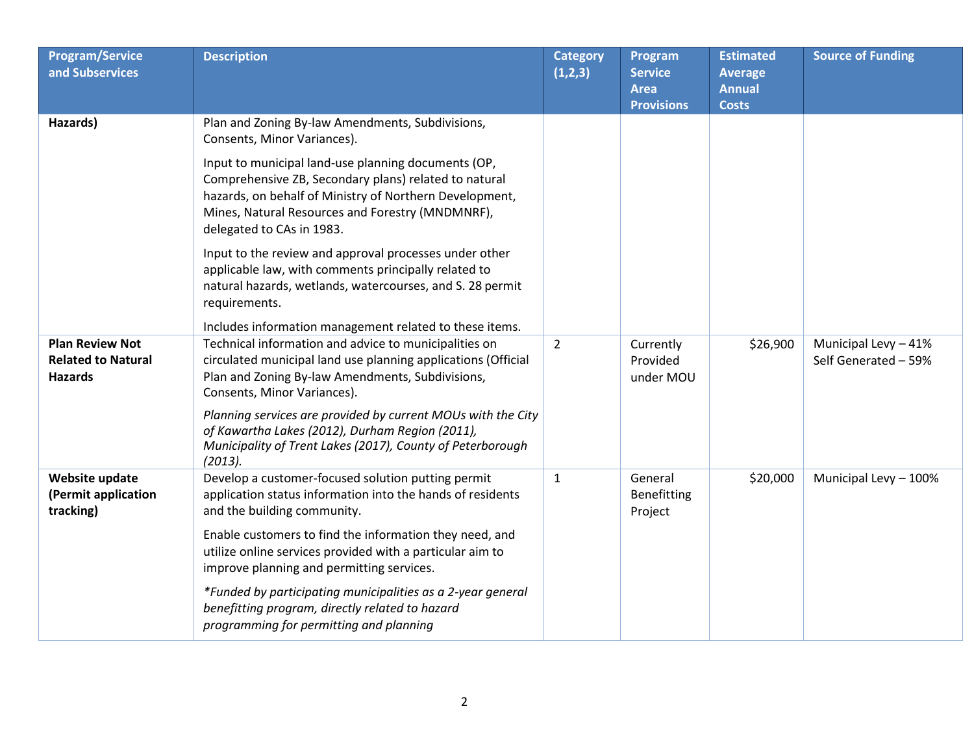| <b>Program/Service</b><br>and Subservices                             | <b>Description</b>                                                                                                                                                                                                                                       | <b>Category</b><br>(1,2,3) | Program<br><b>Service</b><br><b>Area</b><br><b>Provisions</b> | <b>Estimated</b><br><b>Average</b><br><b>Annual</b><br><b>Costs</b> | <b>Source of Funding</b>                     |
|-----------------------------------------------------------------------|----------------------------------------------------------------------------------------------------------------------------------------------------------------------------------------------------------------------------------------------------------|----------------------------|---------------------------------------------------------------|---------------------------------------------------------------------|----------------------------------------------|
| Hazards)                                                              | Plan and Zoning By-law Amendments, Subdivisions,<br>Consents, Minor Variances).                                                                                                                                                                          |                            |                                                               |                                                                     |                                              |
|                                                                       | Input to municipal land-use planning documents (OP,<br>Comprehensive ZB, Secondary plans) related to natural<br>hazards, on behalf of Ministry of Northern Development,<br>Mines, Natural Resources and Forestry (MNDMNRF),<br>delegated to CAs in 1983. |                            |                                                               |                                                                     |                                              |
|                                                                       | Input to the review and approval processes under other<br>applicable law, with comments principally related to<br>natural hazards, wetlands, watercourses, and S. 28 permit<br>requirements.                                                             |                            |                                                               |                                                                     |                                              |
|                                                                       | Includes information management related to these items.                                                                                                                                                                                                  |                            |                                                               |                                                                     |                                              |
| <b>Plan Review Not</b><br><b>Related to Natural</b><br><b>Hazards</b> | Technical information and advice to municipalities on<br>circulated municipal land use planning applications (Official<br>Plan and Zoning By-law Amendments, Subdivisions,<br>Consents, Minor Variances).                                                | $\overline{2}$             | Currently<br>Provided<br>under MOU                            | \$26,900                                                            | Municipal Levy - 41%<br>Self Generated - 59% |
|                                                                       | Planning services are provided by current MOUs with the City<br>of Kawartha Lakes (2012), Durham Region (2011),<br>Municipality of Trent Lakes (2017), County of Peterborough<br>(2013).                                                                 |                            |                                                               |                                                                     |                                              |
| Website update<br>(Permit application<br>tracking)                    | Develop a customer-focused solution putting permit<br>application status information into the hands of residents<br>and the building community.                                                                                                          | $\mathbf{1}$               | General<br>Benefitting<br>Project                             | \$20,000                                                            | Municipal Levy - 100%                        |
|                                                                       | Enable customers to find the information they need, and<br>utilize online services provided with a particular aim to<br>improve planning and permitting services.                                                                                        |                            |                                                               |                                                                     |                                              |
|                                                                       | *Funded by participating municipalities as a 2-year general<br>benefitting program, directly related to hazard<br>programming for permitting and planning                                                                                                |                            |                                                               |                                                                     |                                              |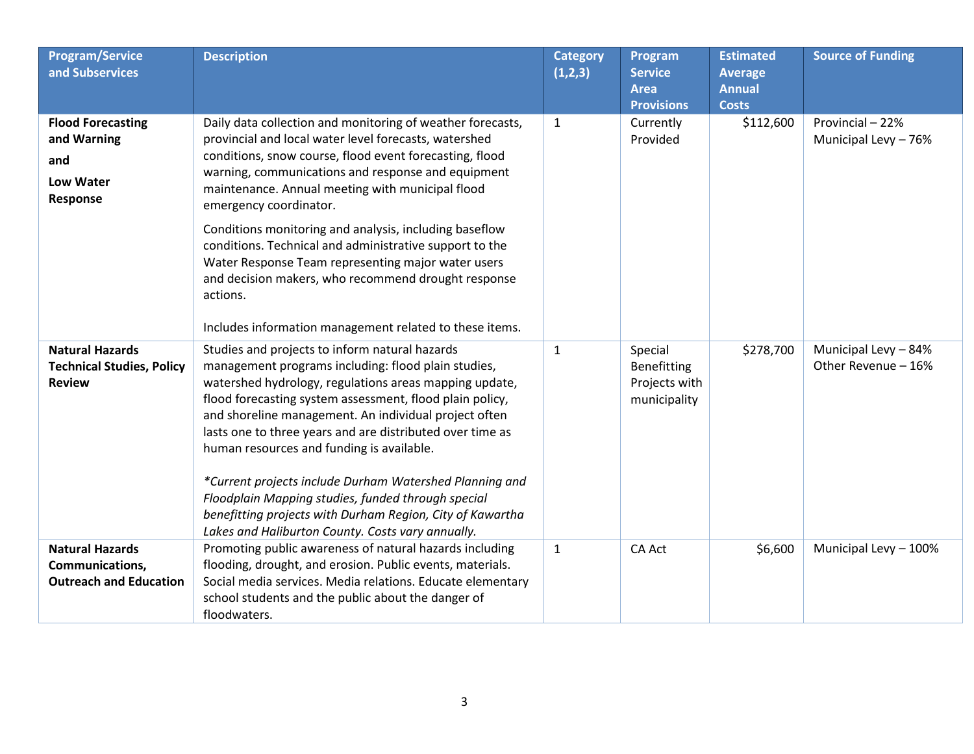| <b>Program/Service</b><br>and Subservices                                      | <b>Description</b>                                                                                                                                                                                                                                                                                                                                                                                                                                                                                                                                                                                                                | <b>Category</b><br>(1,2,3) | Program<br><b>Service</b><br><b>Area</b><br><b>Provisions</b> | <b>Estimated</b><br><b>Average</b><br><b>Annual</b><br><b>Costs</b> | <b>Source of Funding</b>                    |
|--------------------------------------------------------------------------------|-----------------------------------------------------------------------------------------------------------------------------------------------------------------------------------------------------------------------------------------------------------------------------------------------------------------------------------------------------------------------------------------------------------------------------------------------------------------------------------------------------------------------------------------------------------------------------------------------------------------------------------|----------------------------|---------------------------------------------------------------|---------------------------------------------------------------------|---------------------------------------------|
| <b>Flood Forecasting</b><br>and Warning<br>and<br><b>Low Water</b><br>Response | Daily data collection and monitoring of weather forecasts,<br>provincial and local water level forecasts, watershed<br>conditions, snow course, flood event forecasting, flood<br>warning, communications and response and equipment<br>maintenance. Annual meeting with municipal flood<br>emergency coordinator.<br>Conditions monitoring and analysis, including baseflow<br>conditions. Technical and administrative support to the<br>Water Response Team representing major water users<br>and decision makers, who recommend drought response<br>actions.<br>Includes information management related to these items.       | $\mathbf{1}$               | Currently<br>Provided                                         | \$112,600                                                           | Provincial - 22%<br>Municipal Levy - 76%    |
| <b>Natural Hazards</b><br><b>Technical Studies, Policy</b><br><b>Review</b>    | Studies and projects to inform natural hazards<br>management programs including: flood plain studies,<br>watershed hydrology, regulations areas mapping update,<br>flood forecasting system assessment, flood plain policy,<br>and shoreline management. An individual project often<br>lasts one to three years and are distributed over time as<br>human resources and funding is available.<br>*Current projects include Durham Watershed Planning and<br>Floodplain Mapping studies, funded through special<br>benefitting projects with Durham Region, City of Kawartha<br>Lakes and Haliburton County. Costs vary annually. | $\mathbf{1}$               | Special<br>Benefitting<br>Projects with<br>municipality       | \$278,700                                                           | Municipal Levy - 84%<br>Other Revenue - 16% |
| <b>Natural Hazards</b><br>Communications,<br><b>Outreach and Education</b>     | Promoting public awareness of natural hazards including<br>flooding, drought, and erosion. Public events, materials.<br>Social media services. Media relations. Educate elementary<br>school students and the public about the danger of<br>floodwaters.                                                                                                                                                                                                                                                                                                                                                                          | $\mathbf{1}$               | <b>CA Act</b>                                                 | \$6,600                                                             | Municipal Levy - 100%                       |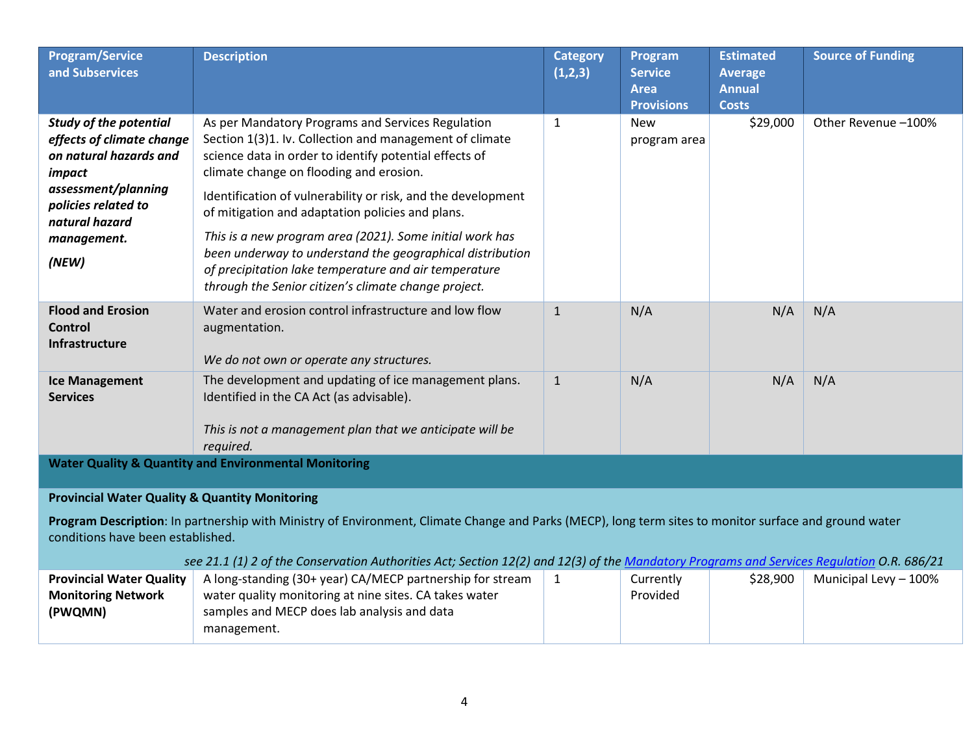| <b>Program/Service</b><br>and Subservices                                                                                                                                                                                                                                                                                                                                                             | <b>Description</b>                                                                                                                                                                                                                                                                                                                                                                                                                                                                                                                                                              | <b>Category</b><br>(1,2,3) | Program<br><b>Service</b><br><b>Area</b><br><b>Provisions</b> | <b>Estimated</b><br><b>Average</b><br><b>Annual</b><br><b>Costs</b> | <b>Source of Funding</b> |  |  |
|-------------------------------------------------------------------------------------------------------------------------------------------------------------------------------------------------------------------------------------------------------------------------------------------------------------------------------------------------------------------------------------------------------|---------------------------------------------------------------------------------------------------------------------------------------------------------------------------------------------------------------------------------------------------------------------------------------------------------------------------------------------------------------------------------------------------------------------------------------------------------------------------------------------------------------------------------------------------------------------------------|----------------------------|---------------------------------------------------------------|---------------------------------------------------------------------|--------------------------|--|--|
| <b>Study of the potential</b><br>effects of climate change<br>on natural hazards and<br>impact<br>assessment/planning<br>policies related to<br>natural hazard<br>management.<br>(NEW)                                                                                                                                                                                                                | As per Mandatory Programs and Services Regulation<br>Section 1(3)1. Iv. Collection and management of climate<br>science data in order to identify potential effects of<br>climate change on flooding and erosion.<br>Identification of vulnerability or risk, and the development<br>of mitigation and adaptation policies and plans.<br>This is a new program area (2021). Some initial work has<br>been underway to understand the geographical distribution<br>of precipitation lake temperature and air temperature<br>through the Senior citizen's climate change project. | $\mathbf{1}$               | <b>New</b><br>program area                                    | \$29,000                                                            | Other Revenue -100%      |  |  |
| <b>Flood and Erosion</b><br><b>Control</b><br>Infrastructure                                                                                                                                                                                                                                                                                                                                          | Water and erosion control infrastructure and low flow<br>augmentation.<br>We do not own or operate any structures.                                                                                                                                                                                                                                                                                                                                                                                                                                                              | $\mathbf{1}$               | N/A                                                           | N/A                                                                 | N/A                      |  |  |
| <b>Ice Management</b><br><b>Services</b>                                                                                                                                                                                                                                                                                                                                                              | The development and updating of ice management plans.<br>Identified in the CA Act (as advisable).<br>This is not a management plan that we anticipate will be<br>required.                                                                                                                                                                                                                                                                                                                                                                                                      | $\mathbf{1}$               | N/A                                                           | N/A                                                                 | N/A                      |  |  |
| <b>Water Quality &amp; Quantity and Environmental Monitoring</b>                                                                                                                                                                                                                                                                                                                                      |                                                                                                                                                                                                                                                                                                                                                                                                                                                                                                                                                                                 |                            |                                                               |                                                                     |                          |  |  |
| <b>Provincial Water Quality &amp; Quantity Monitoring</b><br>Program Description: In partnership with Ministry of Environment, Climate Change and Parks (MECP), long term sites to monitor surface and ground water<br>conditions have been established.<br>see 21.1 (1) 2 of the Conservation Authorities Act; Section 12(2) and 12(3) of the Mandatory Programs and Services Regulation O.R. 686/21 |                                                                                                                                                                                                                                                                                                                                                                                                                                                                                                                                                                                 |                            |                                                               |                                                                     |                          |  |  |
|                                                                                                                                                                                                                                                                                                                                                                                                       | <b>Provincial Water Quality</b>   A long-standing (30+ year) CA/MECP partnership for stream                                                                                                                                                                                                                                                                                                                                                                                                                                                                                     | $\overline{1}$             | Currently                                                     | \$28,900                                                            | Municipal Levy $-100\%$  |  |  |

| <b>Provincial Water Quality</b> | A long-standing (30+ year) CA/MECP partnership for stream | Currently | \$28,900 | Municipal Levy - 100% |
|---------------------------------|-----------------------------------------------------------|-----------|----------|-----------------------|
| <b>Monitoring Network</b>       | water quality monitoring at nine sites. CA takes water    | Provided  |          |                       |
| (PWQMN)                         | samples and MECP does lab analysis and data               |           |          |                       |
|                                 | management.                                               |           |          |                       |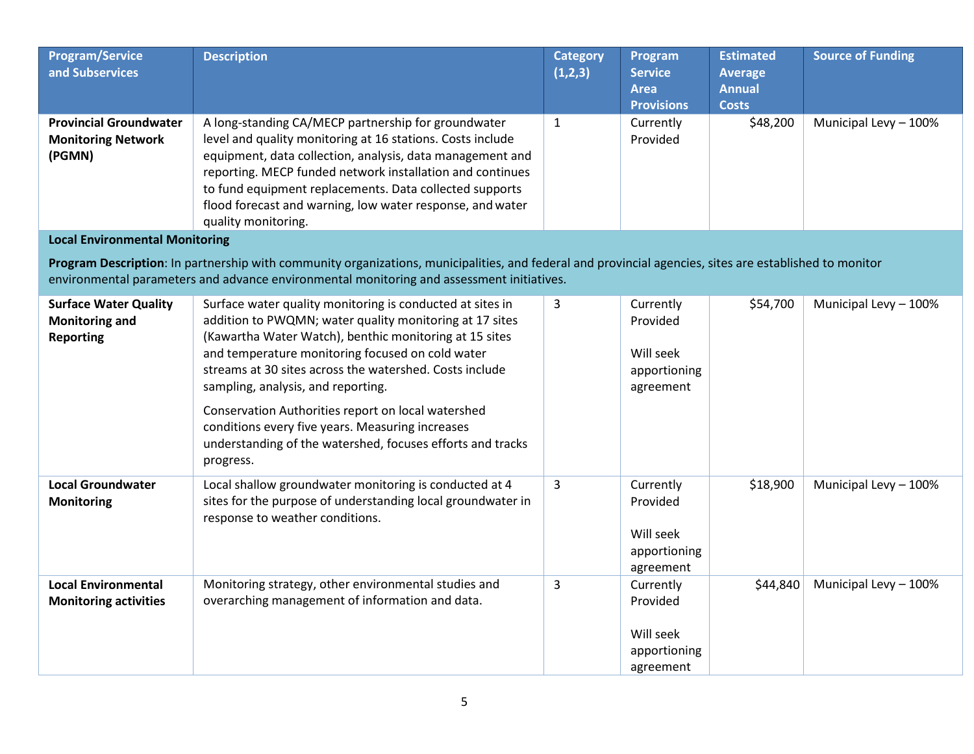| <b>Program/Service</b><br>and Subservices                                 | <b>Description</b>                                                                                                                                                                                                                                                                                                                                                                                                                                                                                                       | <b>Category</b><br>(1,2,3) | Program<br><b>Service</b><br><b>Area</b><br><b>Provisions</b>   | <b>Estimated</b><br><b>Average</b><br><b>Annual</b><br><b>Costs</b> | <b>Source of Funding</b> |
|---------------------------------------------------------------------------|--------------------------------------------------------------------------------------------------------------------------------------------------------------------------------------------------------------------------------------------------------------------------------------------------------------------------------------------------------------------------------------------------------------------------------------------------------------------------------------------------------------------------|----------------------------|-----------------------------------------------------------------|---------------------------------------------------------------------|--------------------------|
| <b>Provincial Groundwater</b><br><b>Monitoring Network</b><br>(PGMN)      | A long-standing CA/MECP partnership for groundwater<br>level and quality monitoring at 16 stations. Costs include<br>equipment, data collection, analysis, data management and<br>reporting. MECP funded network installation and continues<br>to fund equipment replacements. Data collected supports<br>flood forecast and warning, low water response, and water<br>quality monitoring.                                                                                                                               | $\mathbf{1}$               | Currently<br>Provided                                           | \$48,200                                                            | Municipal Levy - 100%    |
| <b>Local Environmental Monitoring</b>                                     |                                                                                                                                                                                                                                                                                                                                                                                                                                                                                                                          |                            |                                                                 |                                                                     |                          |
|                                                                           | Program Description: In partnership with community organizations, municipalities, and federal and provincial agencies, sites are established to monitor<br>environmental parameters and advance environmental monitoring and assessment initiatives.                                                                                                                                                                                                                                                                     |                            |                                                                 |                                                                     |                          |
| <b>Surface Water Quality</b><br><b>Monitoring and</b><br><b>Reporting</b> | Surface water quality monitoring is conducted at sites in<br>addition to PWQMN; water quality monitoring at 17 sites<br>(Kawartha Water Watch), benthic monitoring at 15 sites<br>and temperature monitoring focused on cold water<br>streams at 30 sites across the watershed. Costs include<br>sampling, analysis, and reporting.<br>Conservation Authorities report on local watershed<br>conditions every five years. Measuring increases<br>understanding of the watershed, focuses efforts and tracks<br>progress. | 3                          | Currently<br>Provided<br>Will seek<br>apportioning<br>agreement | \$54,700                                                            | Municipal Levy - 100%    |
| <b>Local Groundwater</b><br><b>Monitoring</b>                             | Local shallow groundwater monitoring is conducted at 4<br>sites for the purpose of understanding local groundwater in<br>response to weather conditions.                                                                                                                                                                                                                                                                                                                                                                 | 3                          | Currently<br>Provided<br>Will seek<br>apportioning<br>agreement | \$18,900                                                            | Municipal Levy - 100%    |
| <b>Local Environmental</b><br><b>Monitoring activities</b>                | Monitoring strategy, other environmental studies and<br>overarching management of information and data.                                                                                                                                                                                                                                                                                                                                                                                                                  | 3                          | Currently<br>Provided<br>Will seek<br>apportioning<br>agreement | \$44,840                                                            | Municipal Levy - 100%    |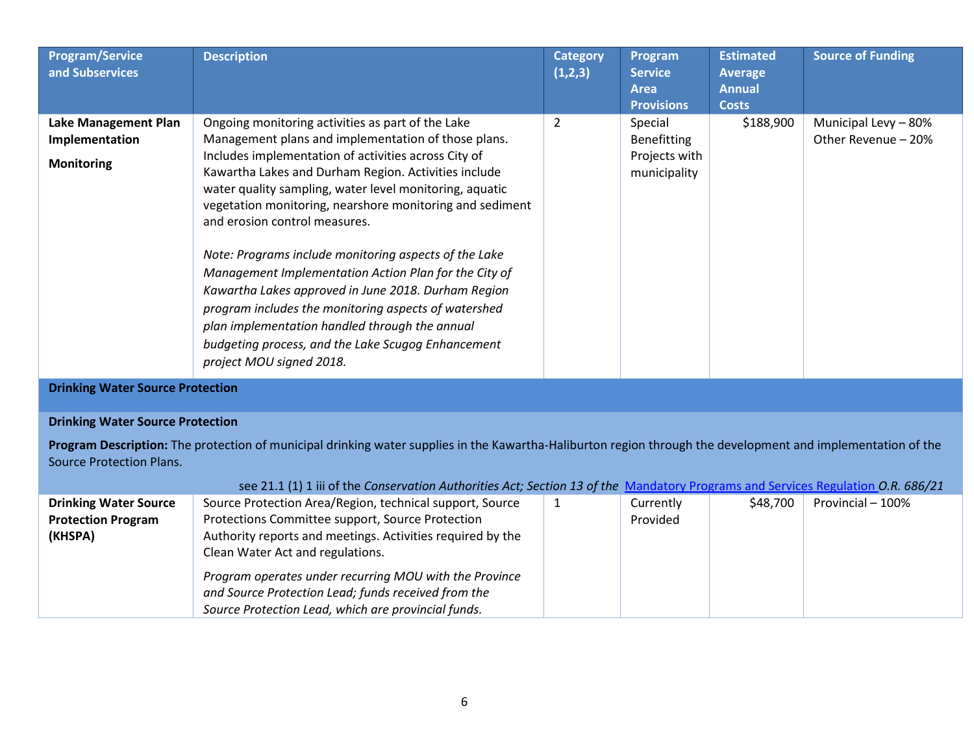| <b>Program/Service</b><br>and Subservices                          | <b>Description</b>                                                                                                                                                                                                                                                                                                                                                                                                                                                                                                                                                                                                                                                                                                                                    | <b>Category</b><br>(1,2,3) | Program<br><b>Service</b><br><b>Area</b><br><b>Provisions</b> | <b>Estimated</b><br>Average<br><b>Annual</b><br><b>Costs</b> | <b>Source of Funding</b>                    |
|--------------------------------------------------------------------|-------------------------------------------------------------------------------------------------------------------------------------------------------------------------------------------------------------------------------------------------------------------------------------------------------------------------------------------------------------------------------------------------------------------------------------------------------------------------------------------------------------------------------------------------------------------------------------------------------------------------------------------------------------------------------------------------------------------------------------------------------|----------------------------|---------------------------------------------------------------|--------------------------------------------------------------|---------------------------------------------|
| <b>Lake Management Plan</b><br>Implementation<br><b>Monitoring</b> | Ongoing monitoring activities as part of the Lake<br>Management plans and implementation of those plans.<br>Includes implementation of activities across City of<br>Kawartha Lakes and Durham Region. Activities include<br>water quality sampling, water level monitoring, aquatic<br>vegetation monitoring, nearshore monitoring and sediment<br>and erosion control measures.<br>Note: Programs include monitoring aspects of the Lake<br>Management Implementation Action Plan for the City of<br>Kawartha Lakes approved in June 2018. Durham Region<br>program includes the monitoring aspects of watershed<br>plan implementation handled through the annual<br>budgeting process, and the Lake Scugog Enhancement<br>project MOU signed 2018. | 2                          | Special<br>Benefitting<br>Projects with<br>municipality       | \$188,900                                                    | Municipal Levy - 80%<br>Other Revenue - 20% |

**Drinking Water Source Protection**

# **Drinking Water Source Protection**

**Program Description:** The protection of municipal drinking water supplies in the Kawartha-Haliburton region through the development and implementation of the Source Protection Plans.

|                              | see 21.1 (1) 1 iii of the Conservation Authorities Act; Section 13 of the Mandatory Programs and Services Regulation O.R. 686/21 |           |          |                   |
|------------------------------|----------------------------------------------------------------------------------------------------------------------------------|-----------|----------|-------------------|
| <b>Drinking Water Source</b> | Source Protection Area/Region, technical support, Source                                                                         | Currently | \$48.700 | Provincial - 100% |
| <b>Protection Program</b>    | Protections Committee support, Source Protection                                                                                 | Provided  |          |                   |
| (KHSPA)                      | Authority reports and meetings. Activities required by the                                                                       |           |          |                   |
|                              | Clean Water Act and regulations.                                                                                                 |           |          |                   |
|                              | Program operates under recurring MOU with the Province                                                                           |           |          |                   |
|                              | and Source Protection Lead; funds received from the                                                                              |           |          |                   |
|                              | Source Protection Lead, which are provincial funds.                                                                              |           |          |                   |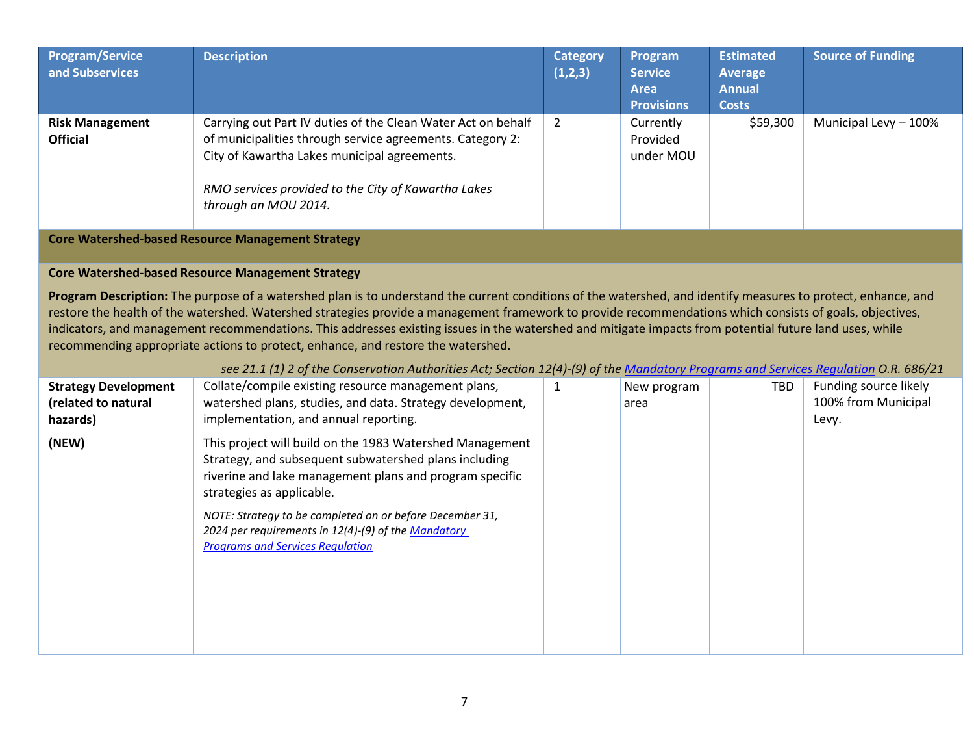| <b>Program/Service</b><br>and Subservices                      | <b>Description</b>                                                                                                                                                                                                                                                                                                                                                                                                                                                                                                                                                                                                                                                                                              | <b>Category</b><br>(1,2,3) | Program<br><b>Service</b><br><b>Area</b><br><b>Provisions</b> | <b>Estimated</b><br><b>Average</b><br><b>Annual</b><br><b>Costs</b> | <b>Source of Funding</b>                              |
|----------------------------------------------------------------|-----------------------------------------------------------------------------------------------------------------------------------------------------------------------------------------------------------------------------------------------------------------------------------------------------------------------------------------------------------------------------------------------------------------------------------------------------------------------------------------------------------------------------------------------------------------------------------------------------------------------------------------------------------------------------------------------------------------|----------------------------|---------------------------------------------------------------|---------------------------------------------------------------------|-------------------------------------------------------|
| <b>Risk Management</b><br><b>Official</b>                      | Carrying out Part IV duties of the Clean Water Act on behalf<br>of municipalities through service agreements. Category 2:<br>City of Kawartha Lakes municipal agreements.<br>RMO services provided to the City of Kawartha Lakes<br>through an MOU 2014.                                                                                                                                                                                                                                                                                                                                                                                                                                                        | $\mathbf{2}$               | Currently<br>Provided<br>under MOU                            | \$59,300                                                            | Municipal Levy - 100%                                 |
|                                                                | <b>Core Watershed-based Resource Management Strategy</b>                                                                                                                                                                                                                                                                                                                                                                                                                                                                                                                                                                                                                                                        |                            |                                                               |                                                                     |                                                       |
|                                                                | <b>Core Watershed-based Resource Management Strategy</b>                                                                                                                                                                                                                                                                                                                                                                                                                                                                                                                                                                                                                                                        |                            |                                                               |                                                                     |                                                       |
|                                                                | Program Description: The purpose of a watershed plan is to understand the current conditions of the watershed, and identify measures to protect, enhance, and<br>restore the health of the watershed. Watershed strategies provide a management framework to provide recommendations which consists of goals, objectives,<br>indicators, and management recommendations. This addresses existing issues in the watershed and mitigate impacts from potential future land uses, while<br>recommending appropriate actions to protect, enhance, and restore the watershed.<br>see 21.1 (1) 2 of the Conservation Authorities Act; Section 12(4)-(9) of the Mandatory Programs and Services Regulation O.R. 686/21 |                            |                                                               |                                                                     |                                                       |
| <b>Strategy Development</b><br>(related to natural<br>hazards) | Collate/compile existing resource management plans,<br>watershed plans, studies, and data. Strategy development,<br>implementation, and annual reporting.                                                                                                                                                                                                                                                                                                                                                                                                                                                                                                                                                       | $\mathbf{1}$               | New program<br>area                                           | TBD                                                                 | Funding source likely<br>100% from Municipal<br>Levy. |
| (NEW)                                                          | This project will build on the 1983 Watershed Management<br>Strategy, and subsequent subwatershed plans including<br>riverine and lake management plans and program specific<br>strategies as applicable.<br>NOTE: Strategy to be completed on or before December 31,<br>2024 per requirements in 12(4)-(9) of the Mandatory<br><b>Programs and Services Regulation</b>                                                                                                                                                                                                                                                                                                                                         |                            |                                                               |                                                                     |                                                       |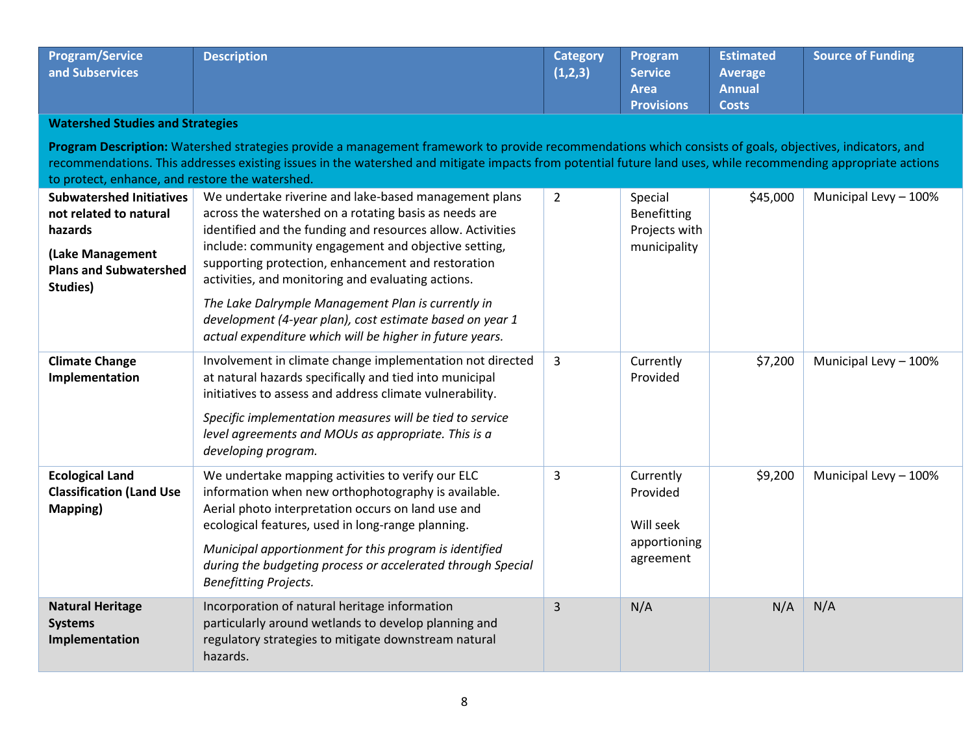| <b>Program/Service</b><br>and Subservices | <b>Description</b> | <b>Category</b><br>(1,2,3) | Program<br><b>Service</b> | <b>Estimated</b><br>Average | <b>Source of Funding</b> |
|-------------------------------------------|--------------------|----------------------------|---------------------------|-----------------------------|--------------------------|
|                                           |                    |                            | <b>Area</b>               | <b>Annual</b>               |                          |
|                                           |                    |                            | <b>Provisions</b>         | <b>Costs</b>                |                          |

## **Watershed Studies and Strategies**

**Program Description:** Watershed strategies provide a management framework to provide recommendations which consists of goals, objectives, indicators, and recommendations. This addresses existing issues in the watershed and mitigate impacts from potential future land uses, while recommending appropriate actions to protect, enhance, and restore the watershed.

| <b>Subwatershed Initiatives</b><br>not related to natural<br>hazards<br>(Lake Management<br><b>Plans and Subwatershed</b><br>Studies) | We undertake riverine and lake-based management plans<br>across the watershed on a rotating basis as needs are<br>identified and the funding and resources allow. Activities<br>include: community engagement and objective setting,<br>supporting protection, enhancement and restoration<br>activities, and monitoring and evaluating actions.<br>The Lake Dalrymple Management Plan is currently in<br>development (4-year plan), cost estimate based on year 1<br>actual expenditure which will be higher in future years. | $\overline{2}$ | Special<br>Benefitting<br>Projects with<br>municipality         | \$45,000 | Municipal Levy - 100% |
|---------------------------------------------------------------------------------------------------------------------------------------|--------------------------------------------------------------------------------------------------------------------------------------------------------------------------------------------------------------------------------------------------------------------------------------------------------------------------------------------------------------------------------------------------------------------------------------------------------------------------------------------------------------------------------|----------------|-----------------------------------------------------------------|----------|-----------------------|
| <b>Climate Change</b><br>Implementation                                                                                               | Involvement in climate change implementation not directed<br>at natural hazards specifically and tied into municipal<br>initiatives to assess and address climate vulnerability.<br>Specific implementation measures will be tied to service<br>level agreements and MOUs as appropriate. This is a<br>developing program.                                                                                                                                                                                                     | 3              | Currently<br>Provided                                           | \$7,200  | Municipal Levy - 100% |
| <b>Ecological Land</b><br><b>Classification (Land Use</b><br>Mapping)                                                                 | We undertake mapping activities to verify our ELC<br>information when new orthophotography is available.<br>Aerial photo interpretation occurs on land use and<br>ecological features, used in long-range planning.<br>Municipal apportionment for this program is identified<br>during the budgeting process or accelerated through Special<br><b>Benefitting Projects.</b>                                                                                                                                                   | 3              | Currently<br>Provided<br>Will seek<br>apportioning<br>agreement | \$9,200  | Municipal Levy - 100% |
| <b>Natural Heritage</b><br><b>Systems</b><br>Implementation                                                                           | Incorporation of natural heritage information<br>particularly around wetlands to develop planning and<br>regulatory strategies to mitigate downstream natural<br>hazards.                                                                                                                                                                                                                                                                                                                                                      | 3              | N/A                                                             | N/A      | N/A                   |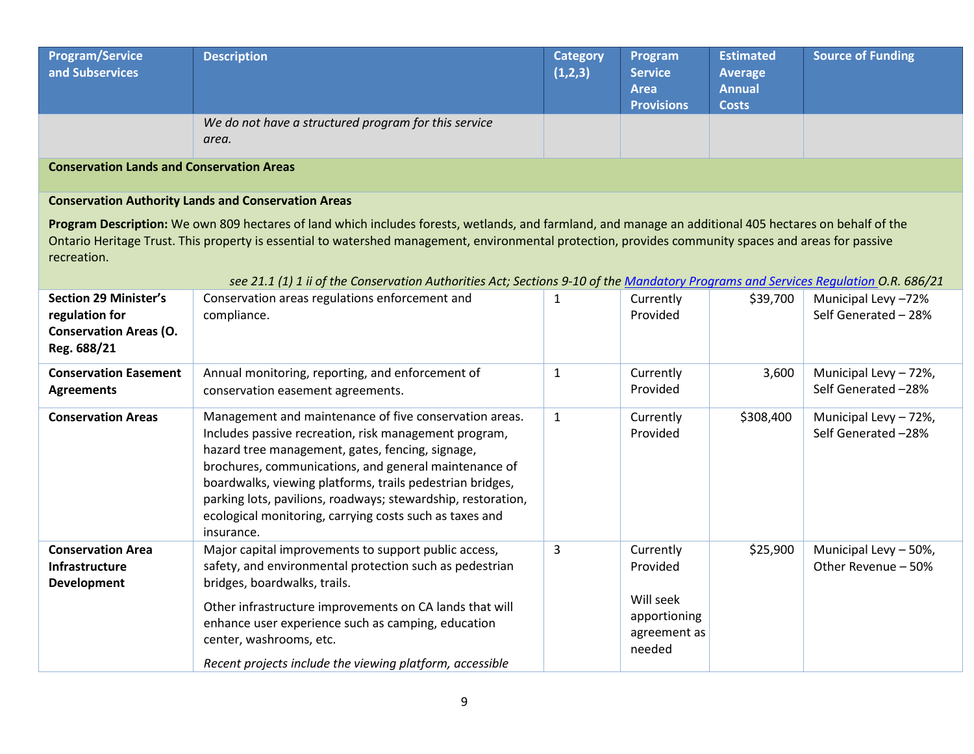| <b>Program/Service</b><br>and Subservices        | <b>Description</b>                                            | <b>Category</b><br>(1,2,3) | Program<br><b>Service</b><br><b>Area</b><br><b>Provisions</b> | <b>Estimated</b><br>Average<br><b>Annual</b><br><b>Costs</b> | <b>Source of Funding</b> |  |
|--------------------------------------------------|---------------------------------------------------------------|----------------------------|---------------------------------------------------------------|--------------------------------------------------------------|--------------------------|--|
|                                                  | We do not have a structured program for this service<br>area. |                            |                                                               |                                                              |                          |  |
| <b>Conservation Lands and Conservation Areas</b> |                                                               |                            |                                                               |                                                              |                          |  |

## **Conservation Authority Lands and Conservation Areas**

**Program Description:** We own 809 hectares of land which includes forests, wetlands, and farmland, and manage an additional 405 hectares on behalf of the Ontario Heritage Trust. This property is essential to watershed management, environmental protection, provides community spaces and areas for passive recreation.

| See 21.1 [1] I II OF the Conservation Authorities Act, Sections 9-10 OF the Mandatory Programs and Services Requidition O.K. 686/21 |                                                                                                                                                                                                                                                                                                                                                                                                                                    |              |                                                                              |           |                                              |
|-------------------------------------------------------------------------------------------------------------------------------------|------------------------------------------------------------------------------------------------------------------------------------------------------------------------------------------------------------------------------------------------------------------------------------------------------------------------------------------------------------------------------------------------------------------------------------|--------------|------------------------------------------------------------------------------|-----------|----------------------------------------------|
| <b>Section 29 Minister's</b><br>regulation for<br><b>Conservation Areas (O.</b><br>Reg. 688/21                                      | Conservation areas regulations enforcement and<br>compliance.                                                                                                                                                                                                                                                                                                                                                                      |              | Currently<br>Provided                                                        | \$39,700  | Municipal Levy -72%<br>Self Generated - 28%  |
| <b>Conservation Easement</b><br><b>Agreements</b>                                                                                   | Annual monitoring, reporting, and enforcement of<br>conservation easement agreements.                                                                                                                                                                                                                                                                                                                                              | 1            | Currently<br>Provided                                                        | 3,600     | Municipal Levy - 72%,<br>Self Generated -28% |
| <b>Conservation Areas</b>                                                                                                           | Management and maintenance of five conservation areas.<br>Includes passive recreation, risk management program,<br>hazard tree management, gates, fencing, signage,<br>brochures, communications, and general maintenance of<br>boardwalks, viewing platforms, trails pedestrian bridges,<br>parking lots, pavilions, roadways; stewardship, restoration,<br>ecological monitoring, carrying costs such as taxes and<br>insurance. | $\mathbf{1}$ | Currently<br>Provided                                                        | \$308,400 | Municipal Levy - 72%,<br>Self Generated -28% |
| <b>Conservation Area</b><br><b>Infrastructure</b><br><b>Development</b>                                                             | Major capital improvements to support public access,<br>safety, and environmental protection such as pedestrian<br>bridges, boardwalks, trails.<br>Other infrastructure improvements on CA lands that will<br>enhance user experience such as camping, education<br>center, washrooms, etc.<br>Recent projects include the viewing platform, accessible                                                                            | 3            | Currently<br>Provided<br>Will seek<br>apportioning<br>agreement as<br>needed | \$25,900  | Municipal Levy - 50%,<br>Other Revenue - 50% |

*see 21.1 (1) 1 ii of the Conservation Authorities Act; Sections 9-10 of th[e Mandatory Programs and Services Regulation](https://www.ontario.ca/laws/regulation/r21686) O.R. 686/21*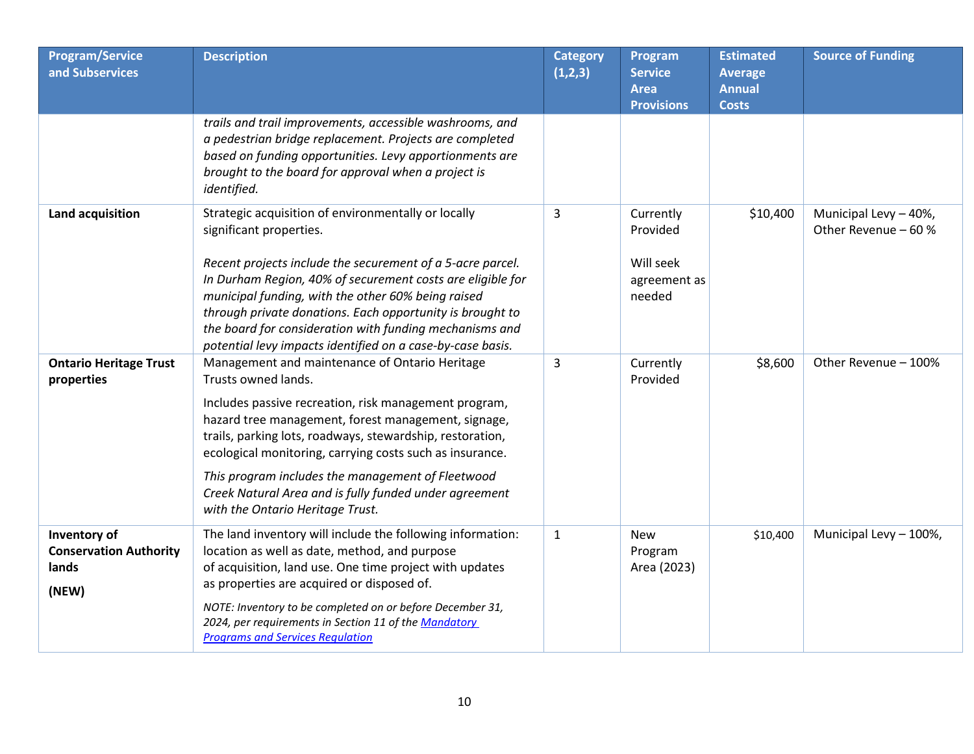| <b>Program/Service</b><br>and Subservices                       | <b>Description</b>                                                                                                                                                                                                                                                                                                                                                                                                                                                | <b>Category</b><br>(1,2,3) | Program<br><b>Service</b><br><b>Area</b><br><b>Provisions</b> | <b>Estimated</b><br><b>Average</b><br><b>Annual</b><br><b>Costs</b> | <b>Source of Funding</b>                      |
|-----------------------------------------------------------------|-------------------------------------------------------------------------------------------------------------------------------------------------------------------------------------------------------------------------------------------------------------------------------------------------------------------------------------------------------------------------------------------------------------------------------------------------------------------|----------------------------|---------------------------------------------------------------|---------------------------------------------------------------------|-----------------------------------------------|
|                                                                 | trails and trail improvements, accessible washrooms, and<br>a pedestrian bridge replacement. Projects are completed<br>based on funding opportunities. Levy apportionments are<br>brought to the board for approval when a project is<br>identified.                                                                                                                                                                                                              |                            |                                                               |                                                                     |                                               |
| Land acquisition                                                | Strategic acquisition of environmentally or locally<br>significant properties.<br>Recent projects include the securement of a 5-acre parcel.<br>In Durham Region, 40% of securement costs are eligible for<br>municipal funding, with the other 60% being raised<br>through private donations. Each opportunity is brought to<br>the board for consideration with funding mechanisms and<br>potential levy impacts identified on a case-by-case basis.            | 3                          | Currently<br>Provided<br>Will seek<br>agreement as<br>needed  | \$10,400                                                            | Municipal Levy - 40%,<br>Other Revenue - 60 % |
| <b>Ontario Heritage Trust</b><br>properties                     | Management and maintenance of Ontario Heritage<br>Trusts owned lands.<br>Includes passive recreation, risk management program,<br>hazard tree management, forest management, signage,<br>trails, parking lots, roadways, stewardship, restoration,<br>ecological monitoring, carrying costs such as insurance.<br>This program includes the management of Fleetwood<br>Creek Natural Area and is fully funded under agreement<br>with the Ontario Heritage Trust. | 3                          | Currently<br>Provided                                         | \$8,600                                                             | Other Revenue - 100%                          |
| Inventory of<br><b>Conservation Authority</b><br>lands<br>(NEW) | The land inventory will include the following information:<br>location as well as date, method, and purpose<br>of acquisition, land use. One time project with updates<br>as properties are acquired or disposed of.<br>NOTE: Inventory to be completed on or before December 31,<br>2024, per requirements in Section 11 of the Mandatory<br><b>Programs and Services Regulation</b>                                                                             | $\mathbf{1}$               | <b>New</b><br>Program<br>Area (2023)                          | \$10,400                                                            | Municipal Levy - 100%,                        |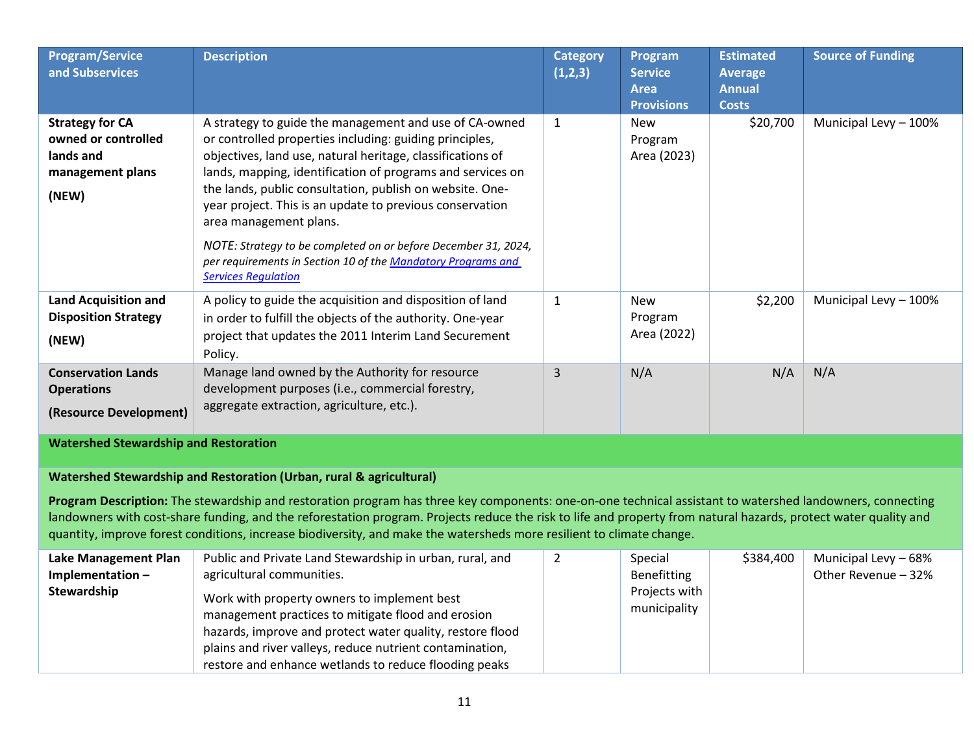| <b>Program/Service</b><br>and Subservices                                               | <b>Description</b>                                                                                                                                                                                                                                                                                                                                                                                                                                                                                                                                              | <b>Category</b><br>(1,2,3) | Program<br><b>Service</b><br><b>Area</b><br><b>Provisions</b> | <b>Estimated</b><br><b>Average</b><br><b>Annual</b><br><b>Costs</b> | <b>Source of Funding</b>                    |
|-----------------------------------------------------------------------------------------|-----------------------------------------------------------------------------------------------------------------------------------------------------------------------------------------------------------------------------------------------------------------------------------------------------------------------------------------------------------------------------------------------------------------------------------------------------------------------------------------------------------------------------------------------------------------|----------------------------|---------------------------------------------------------------|---------------------------------------------------------------------|---------------------------------------------|
| <b>Strategy for CA</b><br>owned or controlled<br>lands and<br>management plans<br>(NEW) | A strategy to guide the management and use of CA-owned<br>or controlled properties including: guiding principles,<br>objectives, land use, natural heritage, classifications of<br>lands, mapping, identification of programs and services on<br>the lands, public consultation, publish on website. One-<br>year project. This is an update to previous conservation<br>area management plans.<br>NOTE: Strategy to be completed on or before December 31, 2024,<br>per requirements in Section 10 of the Mandatory Programs and<br><b>Services Regulation</b> | $\mathbf{1}$               | <b>New</b><br>Program<br>Area (2023)                          | \$20,700                                                            | Municipal Levy - 100%                       |
| <b>Land Acquisition and</b><br><b>Disposition Strategy</b><br>(NEW)                     | A policy to guide the acquisition and disposition of land<br>in order to fulfill the objects of the authority. One-year<br>project that updates the 2011 Interim Land Securement<br>Policy.                                                                                                                                                                                                                                                                                                                                                                     | $\mathbf{1}$               | <b>New</b><br>Program<br>Area (2022)                          | \$2,200                                                             | Municipal Levy - 100%                       |
| <b>Conservation Lands</b><br><b>Operations</b><br>(Resource Development)                | Manage land owned by the Authority for resource<br>development purposes (i.e., commercial forestry,<br>aggregate extraction, agriculture, etc.).                                                                                                                                                                                                                                                                                                                                                                                                                | $\overline{3}$             | N/A                                                           | N/A                                                                 | N/A                                         |
| <b>Watershed Stewardship and Restoration</b>                                            |                                                                                                                                                                                                                                                                                                                                                                                                                                                                                                                                                                 |                            |                                                               |                                                                     |                                             |
|                                                                                         | Watershed Stewardship and Restoration (Urban, rural & agricultural)                                                                                                                                                                                                                                                                                                                                                                                                                                                                                             |                            |                                                               |                                                                     |                                             |
|                                                                                         | Program Description: The stewardship and restoration program has three key components: one-on-one technical assistant to watershed landowners, connecting<br>landowners with cost-share funding, and the reforestation program. Projects reduce the risk to life and property from natural hazards, protect water quality and<br>quantity, improve forest conditions, increase biodiversity, and make the watersheds more resilient to climate change.                                                                                                          |                            |                                                               |                                                                     |                                             |
| Lake Management Plan<br>Implementation-<br>Stewardship                                  | Public and Private Land Stewardship in urban, rural, and<br>agricultural communities.<br>Work with property owners to implement best<br>management practices to mitigate flood and erosion<br>hazards, improve and protect water quality, restore flood<br>plains and river valleys, reduce nutrient contamination,                                                                                                                                                                                                                                             | $\overline{2}$             | Special<br>Benefitting<br>Projects with<br>municipality       | \$384,400                                                           | Municipal Levy - 68%<br>Other Revenue - 32% |

restore and enhance wetlands to reduce flooding peaks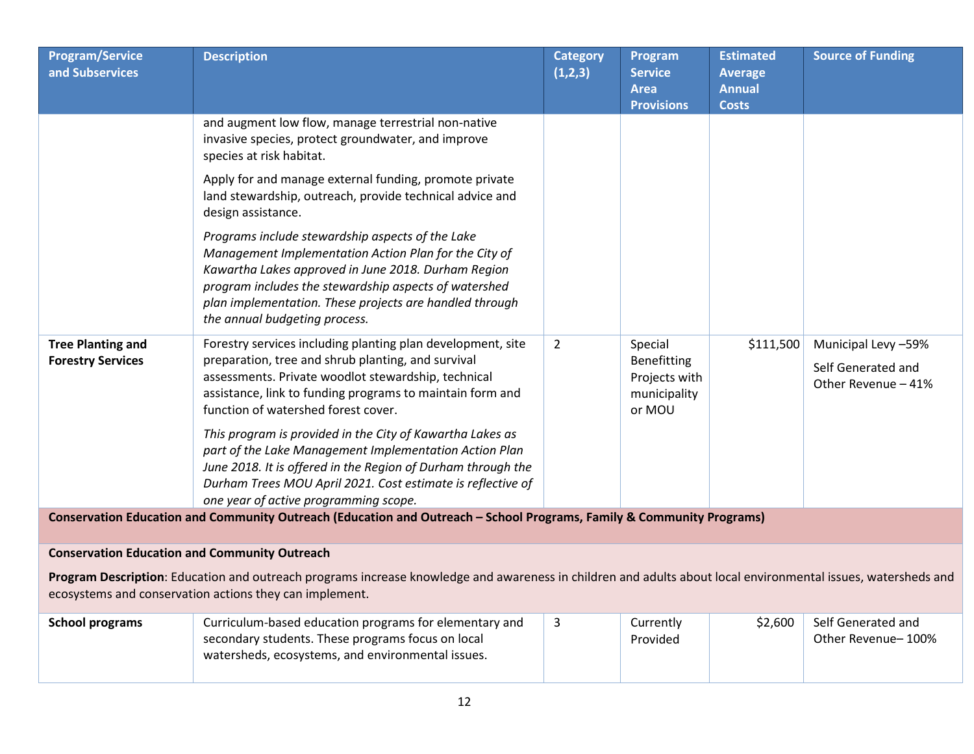| <b>Program/Service</b><br>and Subservices            | <b>Description</b>                                                                                                                                                                                                                                                                                                    | <b>Category</b><br>(1,2,3) | Program<br><b>Service</b><br><b>Area</b><br><b>Provisions</b>     | <b>Estimated</b><br><b>Average</b><br><b>Annual</b><br><b>Costs</b> | <b>Source of Funding</b>                                         |
|------------------------------------------------------|-----------------------------------------------------------------------------------------------------------------------------------------------------------------------------------------------------------------------------------------------------------------------------------------------------------------------|----------------------------|-------------------------------------------------------------------|---------------------------------------------------------------------|------------------------------------------------------------------|
|                                                      | and augment low flow, manage terrestrial non-native<br>invasive species, protect groundwater, and improve<br>species at risk habitat.                                                                                                                                                                                 |                            |                                                                   |                                                                     |                                                                  |
|                                                      | Apply for and manage external funding, promote private<br>land stewardship, outreach, provide technical advice and<br>design assistance.                                                                                                                                                                              |                            |                                                                   |                                                                     |                                                                  |
|                                                      | Programs include stewardship aspects of the Lake<br>Management Implementation Action Plan for the City of<br>Kawartha Lakes approved in June 2018. Durham Region<br>program includes the stewardship aspects of watershed<br>plan implementation. These projects are handled through<br>the annual budgeting process. |                            |                                                                   |                                                                     |                                                                  |
| <b>Tree Planting and</b><br><b>Forestry Services</b> | Forestry services including planting plan development, site<br>preparation, tree and shrub planting, and survival<br>assessments. Private woodlot stewardship, technical<br>assistance, link to funding programs to maintain form and<br>function of watershed forest cover.                                          | $\overline{2}$             | Special<br>Benefitting<br>Projects with<br>municipality<br>or MOU | \$111,500                                                           | Municipal Levy -59%<br>Self Generated and<br>Other Revenue - 41% |
|                                                      | This program is provided in the City of Kawartha Lakes as<br>part of the Lake Management Implementation Action Plan<br>June 2018. It is offered in the Region of Durham through the<br>Durham Trees MOU April 2021. Cost estimate is reflective of<br>one year of active programming scope.                           |                            |                                                                   |                                                                     |                                                                  |
|                                                      | Conservation Education and Community Outreach (Education and Outreach - School Programs, Family & Community Programs)                                                                                                                                                                                                 |                            |                                                                   |                                                                     |                                                                  |
| <b>Conservation Education and Community Outreach</b> |                                                                                                                                                                                                                                                                                                                       |                            |                                                                   |                                                                     |                                                                  |
|                                                      | Program Description: Education and outreach programs increase knowledge and awareness in children and adults about local environmental issues, watersheds and<br>ecosystems and conservation actions they can implement.                                                                                              |                            |                                                                   |                                                                     |                                                                  |
| <b>School programs</b>                               | Curriculum-based education programs for elementary and<br>secondary students. These programs focus on local<br>watersheds, ecosystems, and environmental issues.                                                                                                                                                      | 3                          | Currently<br>Provided                                             | \$2,600                                                             | Self Generated and<br>Other Revenue-100%                         |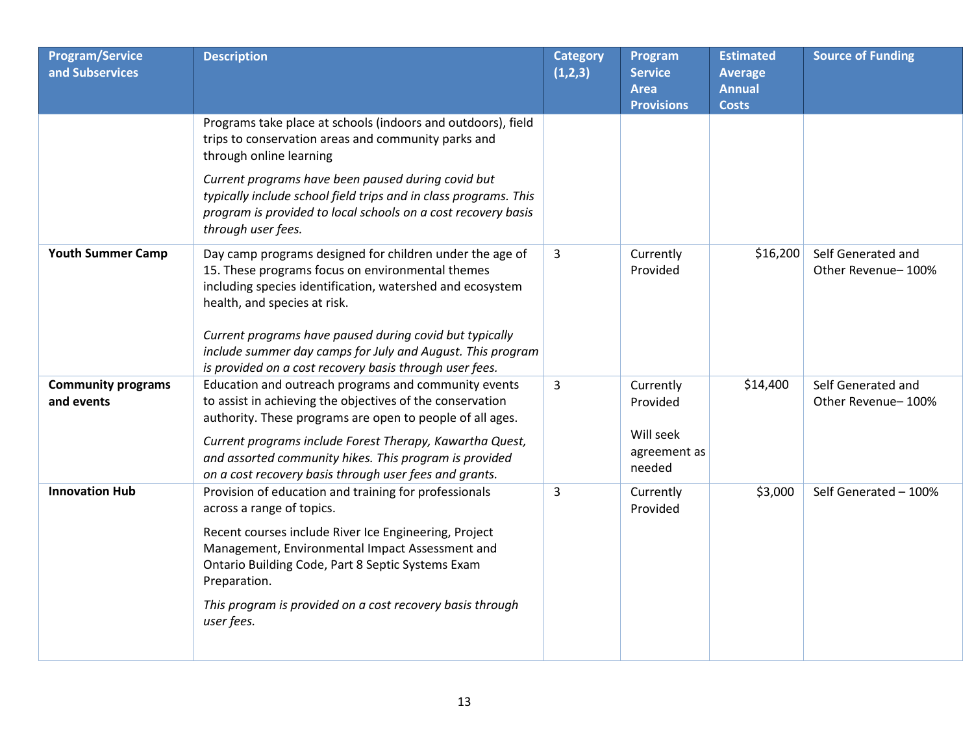| <b>Program/Service</b><br>and Subservices | <b>Description</b>                                                                                                                                                                                                                                                                                                                                                                            | <b>Category</b><br>(1,2,3) | Program<br><b>Service</b><br><b>Area</b><br><b>Provisions</b> | <b>Estimated</b><br><b>Average</b><br><b>Annual</b><br><b>Costs</b> | <b>Source of Funding</b>                 |
|-------------------------------------------|-----------------------------------------------------------------------------------------------------------------------------------------------------------------------------------------------------------------------------------------------------------------------------------------------------------------------------------------------------------------------------------------------|----------------------------|---------------------------------------------------------------|---------------------------------------------------------------------|------------------------------------------|
|                                           | Programs take place at schools (indoors and outdoors), field<br>trips to conservation areas and community parks and<br>through online learning                                                                                                                                                                                                                                                |                            |                                                               |                                                                     |                                          |
|                                           | Current programs have been paused during covid but<br>typically include school field trips and in class programs. This<br>program is provided to local schools on a cost recovery basis<br>through user fees.                                                                                                                                                                                 |                            |                                                               |                                                                     |                                          |
| <b>Youth Summer Camp</b>                  | Day camp programs designed for children under the age of<br>15. These programs focus on environmental themes<br>including species identification, watershed and ecosystem<br>health, and species at risk.<br>Current programs have paused during covid but typically<br>include summer day camps for July and August. This program<br>is provided on a cost recovery basis through user fees. | 3                          | Currently<br>Provided                                         | \$16,200                                                            | Self Generated and<br>Other Revenue-100% |
| <b>Community programs</b><br>and events   | Education and outreach programs and community events<br>to assist in achieving the objectives of the conservation<br>authority. These programs are open to people of all ages.<br>Current programs include Forest Therapy, Kawartha Quest,<br>and assorted community hikes. This program is provided<br>on a cost recovery basis through user fees and grants.                                | 3                          | Currently<br>Provided<br>Will seek<br>agreement as<br>needed  | \$14,400                                                            | Self Generated and<br>Other Revenue-100% |
| <b>Innovation Hub</b>                     | Provision of education and training for professionals<br>across a range of topics.<br>Recent courses include River Ice Engineering, Project<br>Management, Environmental Impact Assessment and<br>Ontario Building Code, Part 8 Septic Systems Exam<br>Preparation.<br>This program is provided on a cost recovery basis through<br>user fees.                                                | 3                          | Currently<br>Provided                                         | \$3,000                                                             | Self Generated - 100%                    |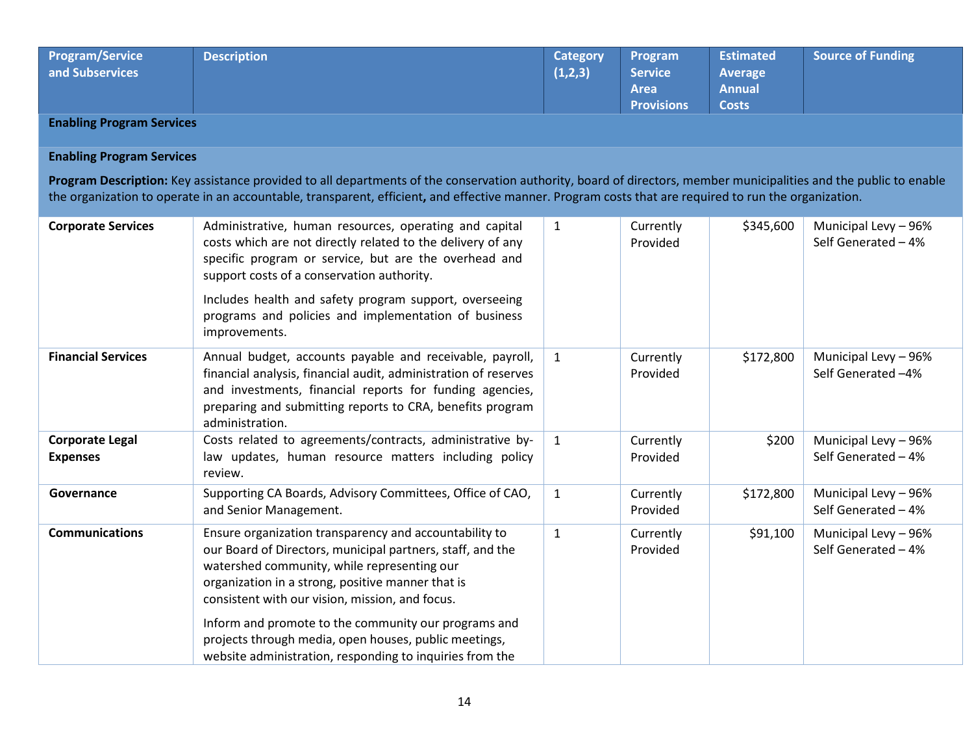| <b>Program/Service</b><br>and Subservices | <b>Description</b> | Category<br>(1,2,3) | Program<br>Service<br>Area<br><b>Provisions</b> | <b>Estimated</b><br><b>Average</b><br><b>Annual</b><br><b>Costs</b> | <b>Source of Funding</b> |
|-------------------------------------------|--------------------|---------------------|-------------------------------------------------|---------------------------------------------------------------------|--------------------------|
|-------------------------------------------|--------------------|---------------------|-------------------------------------------------|---------------------------------------------------------------------|--------------------------|

**Enabling Program Services**

## **Enabling Program Services**

**Program Description:** Key assistance provided to all departments of the conservation authority, board of directors, member municipalities and the public to enable the organization to operate in an accountable, transparent, efficient**,** and effective manner. Program costs that are required to run the organization.

| <b>Corporate Services</b>                 | Administrative, human resources, operating and capital<br>costs which are not directly related to the delivery of any<br>specific program or service, but are the overhead and<br>support costs of a conservation authority.<br>Includes health and safety program support, overseeing<br>programs and policies and implementation of business                                                                                                           | $\mathbf{1}$ | Currently<br>Provided | \$345,600 | Municipal Levy - 96%<br>Self Generated - 4% |
|-------------------------------------------|----------------------------------------------------------------------------------------------------------------------------------------------------------------------------------------------------------------------------------------------------------------------------------------------------------------------------------------------------------------------------------------------------------------------------------------------------------|--------------|-----------------------|-----------|---------------------------------------------|
|                                           | improvements.                                                                                                                                                                                                                                                                                                                                                                                                                                            |              |                       |           |                                             |
| <b>Financial Services</b>                 | Annual budget, accounts payable and receivable, payroll,<br>financial analysis, financial audit, administration of reserves<br>and investments, financial reports for funding agencies,<br>preparing and submitting reports to CRA, benefits program<br>administration.                                                                                                                                                                                  | $\mathbf{1}$ | Currently<br>Provided | \$172,800 | Municipal Levy - 96%<br>Self Generated -4%  |
| <b>Corporate Legal</b><br><b>Expenses</b> | Costs related to agreements/contracts, administrative by-<br>law updates, human resource matters including policy<br>review.                                                                                                                                                                                                                                                                                                                             | $\mathbf{1}$ | Currently<br>Provided | \$200     | Municipal Levy - 96%<br>Self Generated - 4% |
| Governance                                | Supporting CA Boards, Advisory Committees, Office of CAO,<br>and Senior Management.                                                                                                                                                                                                                                                                                                                                                                      | $\mathbf{1}$ | Currently<br>Provided | \$172,800 | Municipal Levy - 96%<br>Self Generated - 4% |
| <b>Communications</b>                     | Ensure organization transparency and accountability to<br>our Board of Directors, municipal partners, staff, and the<br>watershed community, while representing our<br>organization in a strong, positive manner that is<br>consistent with our vision, mission, and focus.<br>Inform and promote to the community our programs and<br>projects through media, open houses, public meetings,<br>website administration, responding to inquiries from the | $\mathbf{1}$ | Currently<br>Provided | \$91,100  | Municipal Levy - 96%<br>Self Generated - 4% |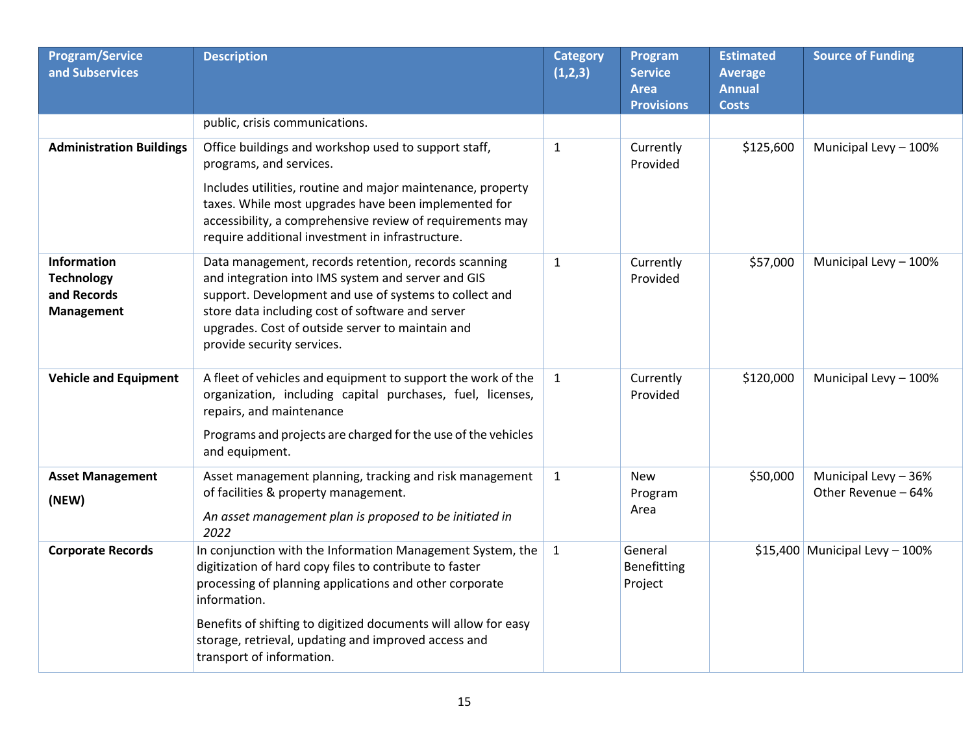| <b>Program/Service</b><br>and Subservices                            | <b>Description</b>                                                                                                                                                                                                                                                                                                                                       | <b>Category</b><br>(1,2,3) | Program<br><b>Service</b><br><b>Area</b><br><b>Provisions</b> | <b>Estimated</b><br><b>Average</b><br><b>Annual</b><br><b>Costs</b> | <b>Source of Funding</b>                    |
|----------------------------------------------------------------------|----------------------------------------------------------------------------------------------------------------------------------------------------------------------------------------------------------------------------------------------------------------------------------------------------------------------------------------------------------|----------------------------|---------------------------------------------------------------|---------------------------------------------------------------------|---------------------------------------------|
|                                                                      | public, crisis communications.                                                                                                                                                                                                                                                                                                                           |                            |                                                               |                                                                     |                                             |
| <b>Administration Buildings</b>                                      | Office buildings and workshop used to support staff,<br>programs, and services.                                                                                                                                                                                                                                                                          | $\mathbf{1}$               | Currently<br>Provided                                         | \$125,600                                                           | Municipal Levy - 100%                       |
|                                                                      | Includes utilities, routine and major maintenance, property<br>taxes. While most upgrades have been implemented for<br>accessibility, a comprehensive review of requirements may<br>require additional investment in infrastructure.                                                                                                                     |                            |                                                               |                                                                     |                                             |
| Information<br><b>Technology</b><br>and Records<br><b>Management</b> | Data management, records retention, records scanning<br>and integration into IMS system and server and GIS<br>support. Development and use of systems to collect and<br>store data including cost of software and server<br>upgrades. Cost of outside server to maintain and<br>provide security services.                                               | $\mathbf{1}$               | Currently<br>Provided                                         | \$57,000                                                            | Municipal Levy - 100%                       |
| <b>Vehicle and Equipment</b>                                         | A fleet of vehicles and equipment to support the work of the<br>organization, including capital purchases, fuel, licenses,<br>repairs, and maintenance<br>Programs and projects are charged for the use of the vehicles<br>and equipment.                                                                                                                | $\mathbf{1}$               | Currently<br>Provided                                         | \$120,000                                                           | Municipal Levy - 100%                       |
| <b>Asset Management</b><br>(NEW)                                     | Asset management planning, tracking and risk management<br>of facilities & property management.<br>An asset management plan is proposed to be initiated in<br>2022                                                                                                                                                                                       | $\mathbf{1}$               | <b>New</b><br>Program<br>Area                                 | \$50,000                                                            | Municipal Levy - 36%<br>Other Revenue - 64% |
| <b>Corporate Records</b>                                             | In conjunction with the Information Management System, the<br>digitization of hard copy files to contribute to faster<br>processing of planning applications and other corporate<br>information.<br>Benefits of shifting to digitized documents will allow for easy<br>storage, retrieval, updating and improved access and<br>transport of information. | $\mathbf{1}$               | General<br>Benefitting<br>Project                             |                                                                     | $$15,400$ Municipal Levy - 100%             |